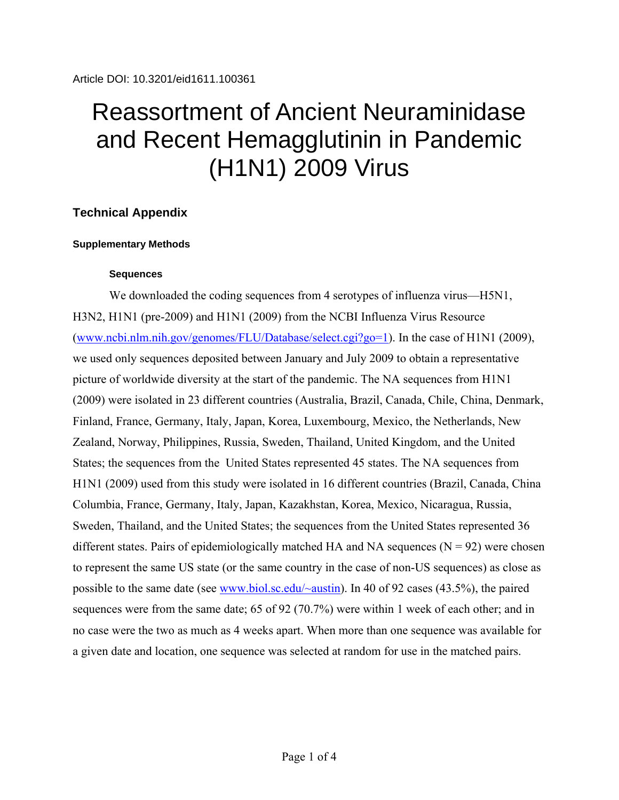# Reassortment of Ancient Neuraminidase and Recent Hemagglutinin in Pandemic (H1N1) 2009 Virus

## **Technical Appendix**

## **Supplementary Methods**

### **Sequences**

We downloaded the coding sequences from 4 serotypes of influenza virus—H5N1, H3N2, H1N1 (pre-2009) and H1N1 (2009) from the NCBI Influenza Virus Resource ([www.ncbi.nlm.nih.gov/genomes/FLU/Database/select.cgi?go=1](http://www.ncbi.nlm.nih.gov/genomes/FLU/Database/select.cgi?go=1)). In the case of H1N1 (2009), we used only sequences deposited between January and July 2009 to obtain a representative picture of worldwide diversity at the start of the pandemic. The NA sequences from H1N1 (2009) were isolated in 23 different countries (Australia, Brazil, Canada, Chile, China, Denmark, Finland, France, Germany, Italy, Japan, Korea, Luxembourg, Mexico, the Netherlands, New Zealand, Norway, Philippines, Russia, Sweden, Thailand, United Kingdom, and the United States; the sequences from the United States represented 45 states. The NA sequences from H1N1 (2009) used from this study were isolated in 16 different countries (Brazil, Canada, China Columbia, France, Germany, Italy, Japan, Kazakhstan, Korea, Mexico, Nicaragua, Russia, Sweden, Thailand, and the United States; the sequences from the United States represented 36 different states. Pairs of epidemiologically matched HA and NA sequences ( $N = 92$ ) were chosen to represent the same US state (or the same country in the case of non-US sequences) as close as possible to the same date (see [www.biol.sc.edu/~austin\)](http://www.biol.sc.edu/%7Eaustin). In 40 of 92 cases (43.5%), the paired sequences were from the same date; 65 of 92 (70.7%) were within 1 week of each other; and in no case were the two as much as 4 weeks apart. When more than one sequence was available for a given date and location, one sequence was selected at random for use in the matched pairs.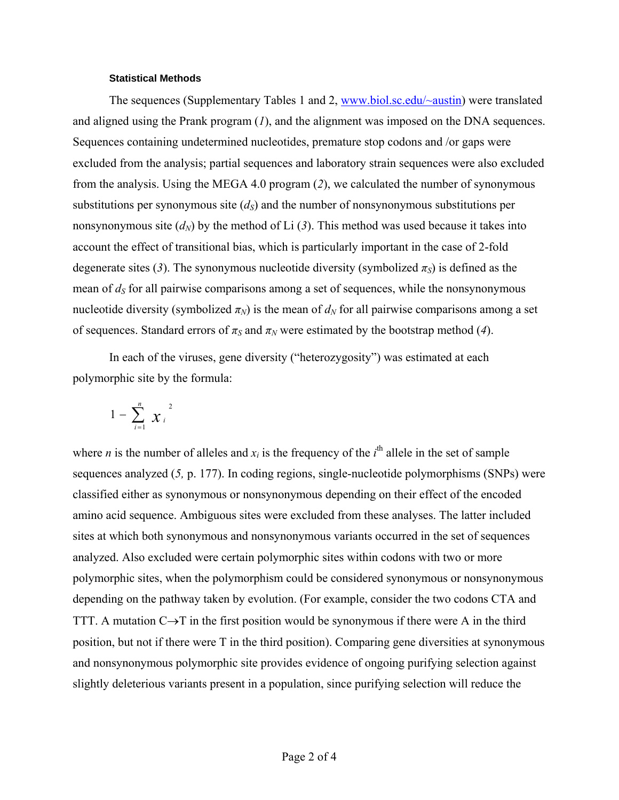#### **Statistical Methods**

The sequences (Supplementary Tables 1 and 2, [www.biol.sc.edu/~austin\)](http://www.biol.sc.edu/%7Eaustin) were translated and aligned using the Prank program (*1*), and the alignment was imposed on the DNA sequences. Sequences containing undetermined nucleotides, premature stop codons and /or gaps were excluded from the analysis; partial sequences and laboratory strain sequences were also excluded from the analysis. Using the MEGA 4.0 program (*2*), we calculated the number of synonymous substitutions per synonymous site  $(d<sub>S</sub>)$  and the number of nonsynonymous substitutions per nonsynonymous site  $(d_N)$  by the method of Li (3). This method was used because it takes into account the effect of transitional bias, which is particularly important in the case of 2-fold degenerate sites (3). The synonymous nucleotide diversity (symbolized  $\pi_S$ ) is defined as the mean of  $d<sub>S</sub>$  for all pairwise comparisons among a set of sequences, while the nonsynonymous nucleotide diversity (symbolized  $\pi_N$ ) is the mean of  $d_N$  for all pairwise comparisons among a set of sequences. Standard errors of  $\pi_S$  and  $\pi_N$  were estimated by the bootstrap method (4).

In each of the viruses, gene diversity ("heterozygosity") was estimated at each polymorphic site by the formula:

$$
1-\sum_{i=1}^n x_i^{2}
$$

where *n* is the number of alleles and  $x_i$  is the frequency of the  $i^{\text{th}}$  allele in the set of sample sequences analyzed (*5,* p. 177). In coding regions, single-nucleotide polymorphisms (SNPs) were classified either as synonymous or nonsynonymous depending on their effect of the encoded amino acid sequence. Ambiguous sites were excluded from these analyses. The latter included sites at which both synonymous and nonsynonymous variants occurred in the set of sequences analyzed. Also excluded were certain polymorphic sites within codons with two or more polymorphic sites, when the polymorphism could be considered synonymous or nonsynonymous depending on the pathway taken by evolution. (For example, consider the two codons CTA and TTT. A mutation  $C \rightarrow T$  in the first position would be synonymous if there were A in the third position, but not if there were T in the third position). Comparing gene diversities at synonymous and nonsynonymous polymorphic site provides evidence of ongoing purifying selection against slightly deleterious variants present in a population, since purifying selection will reduce the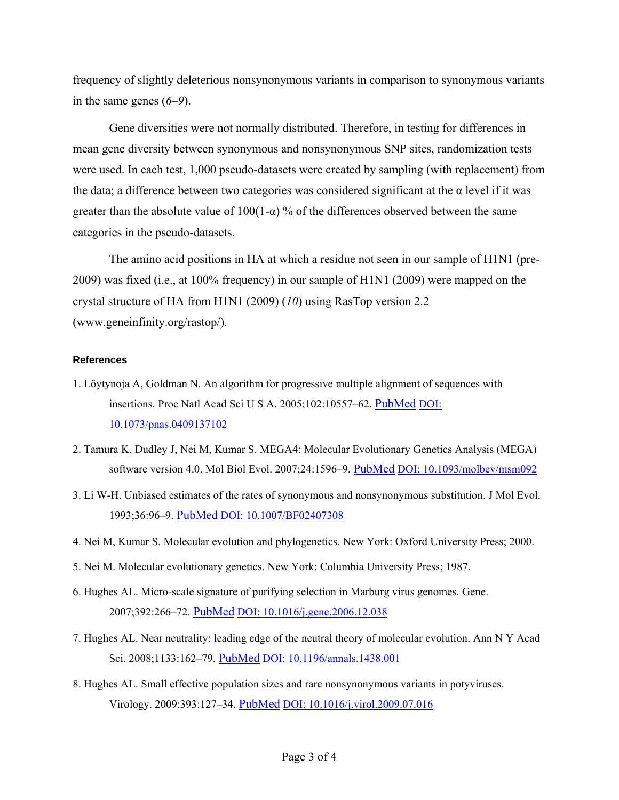frequency of slightly deleterious nonsynonymous variants in comparison to synonymous variants in the same genes (*6*–*9*).

Gene diversities were not normally distributed. Therefore, in testing for differences in mean gene diversity between synonymous and nonsynonymous SNP sites, randomization tests were used. In each test, 1,000 pseudo-datasets were created by sampling (with replacement) from the data; a difference between two categories was considered significant at the  $\alpha$  level if it was greater than the absolute value of  $100(1-\alpha)$ % of the differences observed between the same categories in the pseudo-datasets.

The amino acid positions in HA at which a residue not seen in our sample of H1N1 (pre-2009) was fixed (i.e., at 100% frequency) in our sample of H1N1 (2009) were mapped on the crystal structure of HA from H1N1 (2009) (*10*) using RasTop version 2.2 (www.geneinfinity.org/rastop/).

#### **References**

- 1. Löytynoja A, Goldman N. An algorithm for progressive multiple alignment of sequences with insertions. Proc Natl Acad Sci U S A. 2005;102:10557–62[. PubMed](http://www.ncbi.nlm.nih.gov/sites/entrez?cmd=Retrieve&db=PubMed&list_uids=16000407&dopt=Abstract) [DOI:](http://dx.doi.org/10.1073/pnas.0409137102)  [10.1073/pnas.0409137102](http://dx.doi.org/10.1073/pnas.0409137102)
- 2. Tamura K, Dudley J, Nei M, Kumar S. MEGA4: Molecular Evolutionary Genetics Analysis (MEGA) software version 4.0. Mol Biol Evol. 2007;24:1596–9. [PubMed](http://www.ncbi.nlm.nih.gov/sites/entrez?cmd=Retrieve&db=PubMed&list_uids=17488738&dopt=Abstract) [DOI: 10.1093/molbev/msm092](http://dx.doi.org/10.1093/molbev/msm092)
- 3. Li W-H. Unbiased estimates of the rates of synonymous and nonsynonymous substitution. J Mol Evol. 1993;36:96–9. [PubMed](http://www.ncbi.nlm.nih.gov/sites/entrez?cmd=Retrieve&db=PubMed&list_uids=8433381&dopt=Abstract) [DOI: 10.1007/BF02407308](http://dx.doi.org/10.1007/BF02407308)
- 4. Nei M, Kumar S. Molecular evolution and phylogenetics. New York: Oxford University Press; 2000.
- 5. Nei M. Molecular evolutionary genetics. New York: Columbia University Press; 1987.
- 6. Hughes AL. Micro-scale signature of purifying selection in Marburg virus genomes. Gene. 2007;392:266–72[. PubMed](http://www.ncbi.nlm.nih.gov/sites/entrez?cmd=Retrieve&db=PubMed&list_uids=17306473&dopt=Abstract) [DOI: 10.1016/j.gene.2006.12.038](http://dx.doi.org/10.1016/j.gene.2006.12.038)
- 7. Hughes AL. Near neutrality: leading edge of the neutral theory of molecular evolution. Ann N Y Acad Sci. 2008;1133:162–79[. PubMed](http://www.ncbi.nlm.nih.gov/sites/entrez?cmd=Retrieve&db=PubMed&list_uids=18559820&dopt=Abstract) [DOI: 10.1196/annals.1438.001](http://dx.doi.org/10.1196/annals.1438.001)
- 8. Hughes AL. Small effective population sizes and rare nonsynonymous variants in potyviruses. Virology. 2009;393:127–34. [PubMed](http://www.ncbi.nlm.nih.gov/sites/entrez?cmd=Retrieve&db=PubMed&list_uids=19695658&dopt=Abstract) [DOI: 10.1016/j.virol.2009.07.016](http://dx.doi.org/10.1016/j.virol.2009.07.016)